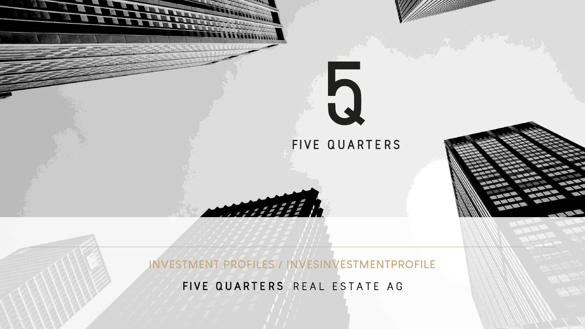

**INVESTMENT PROFILES / INVESINVESTMENTPROFILE**

FIVE QUARTERS REAL ESTATE AG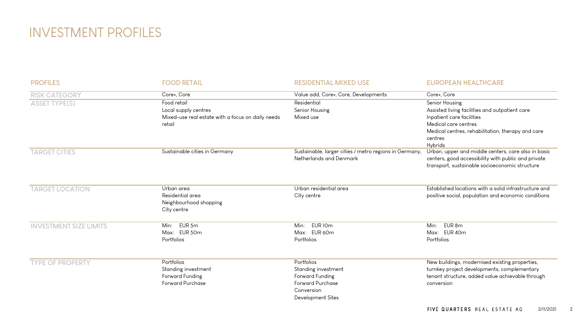## INVESTMENT PROFILES

| <b>PROFILES</b>               | <b>FOOD RETAIL</b>                                                                                 | <b>RESIDENTIAL MIXED USE</b>                                                                                       | <b>EUROPEAN HEALTHCARE</b>                                                                                                                                                                              |
|-------------------------------|----------------------------------------------------------------------------------------------------|--------------------------------------------------------------------------------------------------------------------|---------------------------------------------------------------------------------------------------------------------------------------------------------------------------------------------------------|
| <b>RISK CATEGORY</b>          | Core+, Core                                                                                        | Value add, Core+, Core, Developments                                                                               | Core+, Core                                                                                                                                                                                             |
| <b>ASSET TYPE(S)</b>          | Food retail<br>Local supply centres<br>Mixed-use real estate with a focus on daily needs<br>retail | Residential<br>Senior Housing<br>Mixed use                                                                         | Senior Housing<br>Assisted living facilities and outpatient care<br>Inpatient care facilities<br>Medical care centres<br>Medical centres, rehabilitation, therapy and care<br>centres<br><b>Hybrids</b> |
| <b>TARGET CITIES</b>          | Sustainable cities in Germany                                                                      | Sustainable, larger cities / metro regions in Germany,<br>Netherlands and Denmark                                  | Urban, upper and middle centers, care also in basic<br>centers, good accessibility with public and private<br>transport, sustainable socioeconomic structure                                            |
| <b>TARGET LOCATION</b>        | Urban area<br>Residential area<br>Neighbourhood shopping<br>City centre                            | Urban residential area<br>City centre                                                                              | Established locations with a solid infrastructure and<br>positive social, population and economic conditions                                                                                            |
| <b>INVESTMENT SIZE LIMITS</b> | Min: EUR 5m<br>Max: EUR 50m<br>Portfolios                                                          | Min: EUR 10m<br>Max: EUR 60m<br>Portfolios                                                                         | EUR 8m<br>Min:<br>Max: EUR 40m<br>Portfolios                                                                                                                                                            |
| <b>TYPE OF PROPERTY</b>       | Portfolios<br>Standing investment<br>Forward Funding<br><b>Forward Purchase</b>                    | Portfolios<br>Standing investment<br>Forward Funding<br><b>Forward Purchase</b><br>Conversion<br>Development Sites | New buildings, modernised existing properties,<br>turnkey project developments, complementary<br>tenant structure, added value achievable through<br>conversion                                         |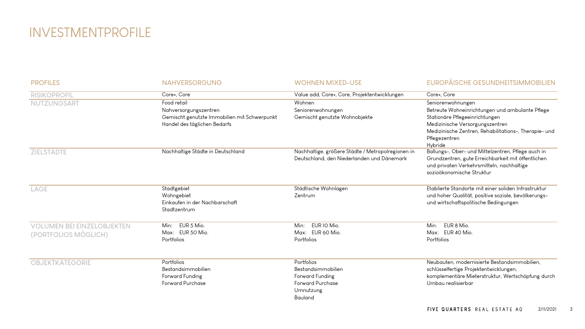## INVESTMENTPROFILE

| <b>PROFILES</b>                                           | <b>NAHVERSORGUNG</b>                                                                                                 | <b>WOHNEN MIXED-USE</b>                                                                                | EUROPÄISCHE GESUNDHEITSIMMOBILIEN                                                                                                                                                                                              |
|-----------------------------------------------------------|----------------------------------------------------------------------------------------------------------------------|--------------------------------------------------------------------------------------------------------|--------------------------------------------------------------------------------------------------------------------------------------------------------------------------------------------------------------------------------|
| <b>RISIKOPROFIL</b>                                       | Core+, Core                                                                                                          | Value add, Core+, Core, Projektentwicklungen                                                           | Core+. Core                                                                                                                                                                                                                    |
| NUTZUNGSART                                               | Food retail<br>Nahversorgungszentren<br>Gemischt genutzte Immobilien mit Schwerpunkt<br>Handel des täglichen Bedarfs | Wohnen<br>Seniorenwohnungen<br>Gemischt genutzte Wohnobjekte                                           | Seniorenwohnungen<br>Betreute Wohneinrichtungen und ambulante Pflege<br>Stationäre Pflegeeinrichtungen<br>Medizinische Versorgungszentren<br>Medizinische Zentren, Rehabilitations-, Therapie- und<br>Pflegezentren<br>Hybride |
| <b>ZIELSTÄDTE</b>                                         | Nachhaltige Städte in Deutschland                                                                                    | Nachhaltige, größere Städte / Metropolregionen in<br>Deutschland, den Niederlanden und Dänemark        | Ballungs-, Ober- und Mittelzentren, Pflege auch in<br>Grundzentren, gute Erreichbarkeit mit öffentlichen<br>und privaten Verkehrsmitteln, nachhaltige<br>sozioökonomische Struktur                                             |
| LAGE                                                      | Stadtgebiet<br>Wohngebiet<br>Einkaufen in der Nachbarschaft<br>Stadtzentrum                                          | Städtische Wohnlagen<br>Zentrum                                                                        | Etablierte Standorte mit einer soliden Infrastruktur<br>und hoher Qualität, positive soziale, bevölkerungs-<br>und wirtschaftspolitische Bedingungen                                                                           |
| <b>VOLUMEN BEI EINZELOBJEKTEN</b><br>(PORTFOLIOS MÖGLICH) | EUR 5 Mio.<br>Min:<br>Max: EUR 50 Mio.<br>Portfolios                                                                 | EUR 10 Mio.<br>Min:<br>Max: EUR 60 Mio.<br>Portfolios                                                  | EUR 8 Mio.<br>Min:<br>Max: EUR 40 Mio.<br>Portfolios                                                                                                                                                                           |
| <b>OBJEKTKATEGORIE</b>                                    | Portfolios<br>Bestandsimmobilien<br>Forward Funding<br><b>Forward Purchase</b>                                       | Portfolios<br>Bestandsimmobilien<br>Forward Funding<br><b>Forward Purchase</b><br>Umnutzung<br>Bauland | Neubauten, modernisierte Bestandsimmobilien,<br>schlüsselfertige Projektentwicklungen,<br>komplementäre Mieterstruktur, Wertschöpfung durch<br>Umbau realisierbar                                                              |